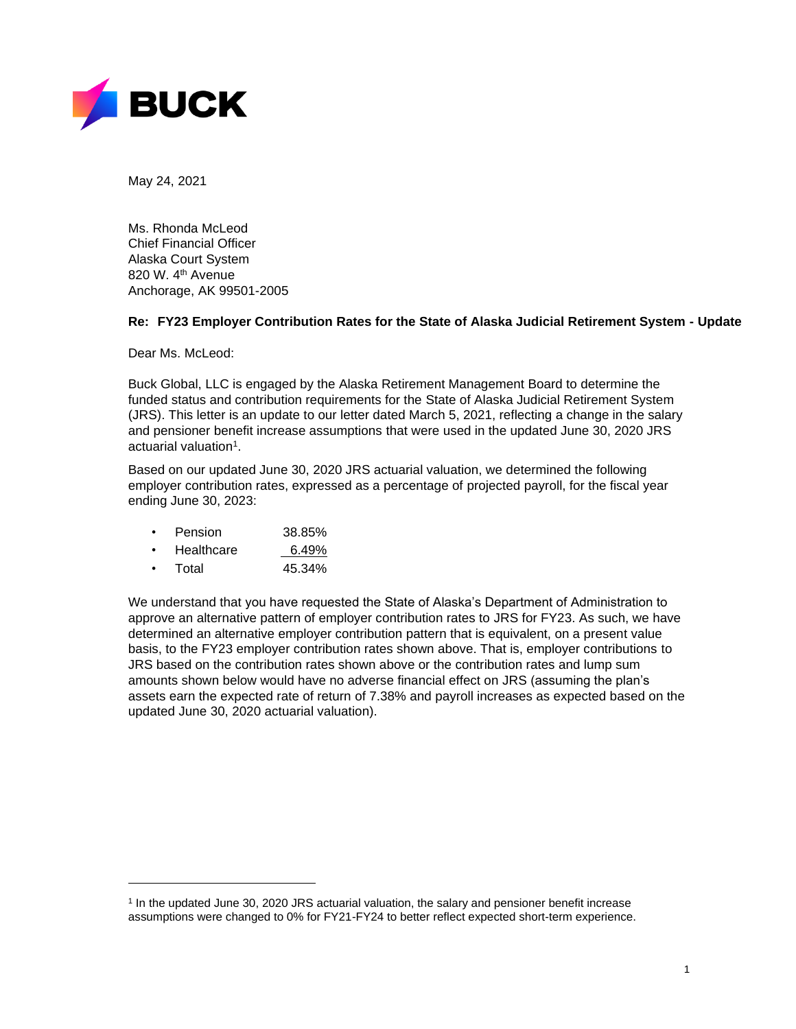

May 24, 2021

Ms. Rhonda McLeod Chief Financial Officer Alaska Court System 820 W. 4th Avenue Anchorage, AK 99501-2005

## **Re: FY23 Employer Contribution Rates for the State of Alaska Judicial Retirement System - Update**

Dear Ms. McLeod:

Buck Global, LLC is engaged by the Alaska Retirement Management Board to determine the funded status and contribution requirements for the State of Alaska Judicial Retirement System (JRS). This letter is an update to our letter dated March 5, 2021, reflecting a change in the salary and pensioner benefit increase assumptions that were used in the updated June 30, 2020 JRS actuarial valuation<sup>1</sup>.

Based on our updated June 30, 2020 JRS actuarial valuation, we determined the following employer contribution rates, expressed as a percentage of projected payroll, for the fiscal year ending June 30, 2023:

- Pension 38.85%
- Healthcare 6.49%
- Total 45.34%

We understand that you have requested the State of Alaska's Department of Administration to approve an alternative pattern of employer contribution rates to JRS for FY23. As such, we have determined an alternative employer contribution pattern that is equivalent, on a present value basis, to the FY23 employer contribution rates shown above. That is, employer contributions to JRS based on the contribution rates shown above or the contribution rates and lump sum amounts shown below would have no adverse financial effect on JRS (assuming the plan's assets earn the expected rate of return of 7.38% and payroll increases as expected based on the updated June 30, 2020 actuarial valuation).

<sup>&</sup>lt;sup>1</sup> In the updated June 30, 2020 JRS actuarial valuation, the salary and pensioner benefit increase assumptions were changed to 0% for FY21-FY24 to better reflect expected short-term experience.